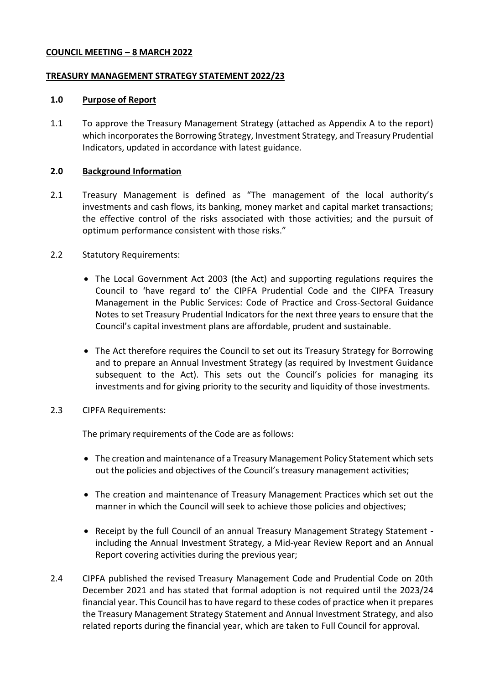### **COUNCIL MEETING – 8 MARCH 2022**

### **TREASURY MANAGEMENT STRATEGY STATEMENT 2022/23**

### **1.0 Purpose of Report**

1.1 To approve the Treasury Management Strategy (attached as Appendix A to the report) which incorporates the Borrowing Strategy, Investment Strategy, and Treasury Prudential Indicators, updated in accordance with latest guidance.

### **2.0 Background Information**

- 2.1 Treasury Management is defined as "The management of the local authority's investments and cash flows, its banking, money market and capital market transactions; the effective control of the risks associated with those activities; and the pursuit of optimum performance consistent with those risks."
- 2.2 Statutory Requirements:
	- The Local Government Act 2003 (the Act) and supporting regulations requires the Council to 'have regard to' the CIPFA Prudential Code and the CIPFA Treasury Management in the Public Services: Code of Practice and Cross-Sectoral Guidance Notes to set Treasury Prudential Indicators for the next three years to ensure that the Council's capital investment plans are affordable, prudent and sustainable.
	- The Act therefore requires the Council to set out its Treasury Strategy for Borrowing and to prepare an Annual Investment Strategy (as required by Investment Guidance subsequent to the Act). This sets out the Council's policies for managing its investments and for giving priority to the security and liquidity of those investments.
- 2.3 CIPFA Requirements:

The primary requirements of the Code are as follows:

- The creation and maintenance of a Treasury Management Policy Statement which sets out the policies and objectives of the Council's treasury management activities;
- The creation and maintenance of Treasury Management Practices which set out the manner in which the Council will seek to achieve those policies and objectives;
- Receipt by the full Council of an annual Treasury Management Strategy Statement including the Annual Investment Strategy, a Mid-year Review Report and an Annual Report covering activities during the previous year;
- 2.4 CIPFA published the revised Treasury Management Code and Prudential Code on 20th December 2021 and has stated that formal adoption is not required until the 2023/24 financial year. This Council has to have regard to these codes of practice when it prepares the Treasury Management Strategy Statement and Annual Investment Strategy, and also related reports during the financial year, which are taken to Full Council for approval.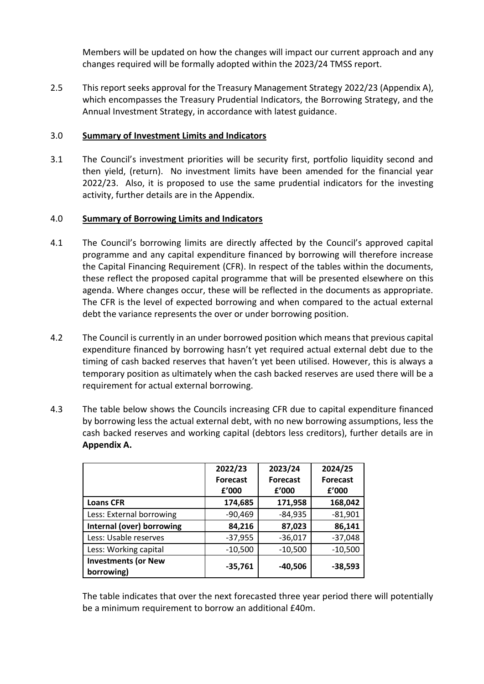Members will be updated on how the changes will impact our current approach and any changes required will be formally adopted within the 2023/24 TMSS report.

2.5 This report seeks approval for the Treasury Management Strategy 2022/23 (Appendix A), which encompasses the Treasury Prudential Indicators, the Borrowing Strategy, and the Annual Investment Strategy, in accordance with latest guidance.

# 3.0 **Summary of Investment Limits and Indicators**

3.1 The Council's investment priorities will be security first, portfolio liquidity second and then yield, (return). No investment limits have been amended for the financial year 2022/23. Also, it is proposed to use the same prudential indicators for the investing activity, further details are in the Appendix.

### 4.0 **Summary of Borrowing Limits and Indicators**

- 4.1 The Council's borrowing limits are directly affected by the Council's approved capital programme and any capital expenditure financed by borrowing will therefore increase the Capital Financing Requirement (CFR). In respect of the tables within the documents, these reflect the proposed capital programme that will be presented elsewhere on this agenda. Where changes occur, these will be reflected in the documents as appropriate. The CFR is the level of expected borrowing and when compared to the actual external debt the variance represents the over or under borrowing position.
- 4.2 The Council is currently in an under borrowed position which means that previous capital expenditure financed by borrowing hasn't yet required actual external debt due to the timing of cash backed reserves that haven't yet been utilised. However, this is always a temporary position as ultimately when the cash backed reserves are used there will be a requirement for actual external borrowing.
- 4.3 The table below shows the Councils increasing CFR due to capital expenditure financed by borrowing less the actual external debt, with no new borrowing assumptions, less the cash backed reserves and working capital (debtors less creditors), further details are in **Appendix A.**

|                                          | 2022/23         | 2023/24         | 2024/25         |
|------------------------------------------|-----------------|-----------------|-----------------|
|                                          | <b>Forecast</b> | <b>Forecast</b> | <b>Forecast</b> |
|                                          | f'000           | f'000           | f'000           |
| <b>Loans CFR</b>                         | 174,685         | 171,958         | 168,042         |
| Less: External borrowing                 | $-90,469$       | $-84,935$       | $-81,901$       |
| Internal (over) borrowing                | 84,216          | 87,023          | 86,141          |
| Less: Usable reserves                    | $-37,955$       | $-36,017$       | $-37,048$       |
| Less: Working capital                    | $-10,500$       | $-10,500$       | $-10,500$       |
| <b>Investments (or New</b><br>borrowing) | $-35,761$       | $-40,506$       | $-38,593$       |

The table indicates that over the next forecasted three year period there will potentially be a minimum requirement to borrow an additional £40m.